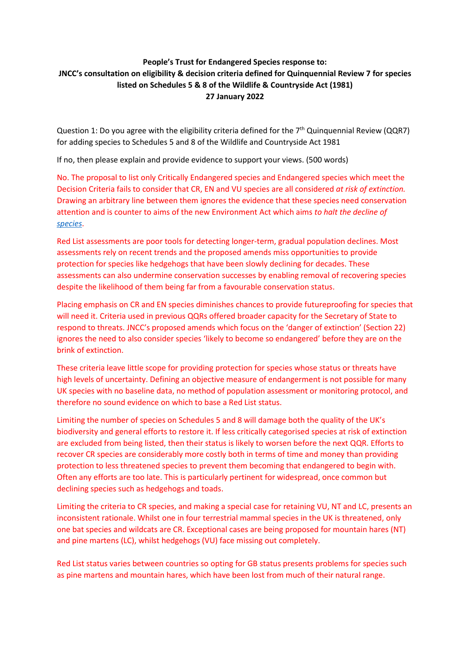## **People's Trust for Endangered Species response to: JNCC's consultation on eligibility & decision criteria defined for Quinquennial Review 7 for species listed on Schedules 5 & 8 of the Wildlife & Countryside Act (1981) 27 January 2022**

Question 1: Do you agree with the eligibility criteria defined for the  $7<sup>th</sup>$  Quinquennial Review (QQR7) for adding species to Schedules 5 and 8 of the Wildlife and Countryside Act 1981

If no, then please explain and provide evidence to support your views. (500 words)

No. The proposal to list only Critically Endangered species and Endangered species which meet the Decision Criteria fails to consider that CR, EN and VU species are all considered *at risk of extinction.* Drawing an arbitrary line between them ignores the evidence that these species need conservation attention and is counter to aims of the new Environment Act which aims *to halt the decline of [species](https://www.gov.uk/government/news/world-leading-environment-act-becomes-law)*.

Red List assessments are poor tools for detecting longer-term, gradual population declines. Most assessments rely on recent trends and the proposed amends miss opportunities to provide protection for species like hedgehogs that have been slowly declining for decades. These assessments can also undermine conservation successes by enabling removal of recovering species despite the likelihood of them being far from a favourable conservation status.

Placing emphasis on CR and EN species diminishes chances to provide futureproofing for species that will need it. Criteria used in previous QQRs offered broader capacity for the Secretary of State to respond to threats. JNCC's proposed amends which focus on the 'danger of extinction' (Section 22) ignores the need to also consider species 'likely to become so endangered' before they are on the brink of extinction.

These criteria leave little scope for providing protection for species whose status or threats have high levels of uncertainty. Defining an objective measure of endangerment is not possible for many UK species with no baseline data, no method of population assessment or monitoring protocol, and therefore no sound evidence on which to base a Red List status.

Limiting the number of species on Schedules 5 and 8 will damage both the quality of the UK's biodiversity and general efforts to restore it. If less critically categorised species at risk of extinction are excluded from being listed, then their status is likely to worsen before the next QQR. Efforts to recover CR species are considerably more costly both in terms of time and money than providing protection to less threatened species to prevent them becoming that endangered to begin with. Often any efforts are too late. This is particularly pertinent for widespread, once common but declining species such as hedgehogs and toads.

Limiting the criteria to CR species, and making a special case for retaining VU, NT and LC, presents an inconsistent rationale. Whilst one in four terrestrial mammal species in the UK is threatened, only one bat species and wildcats are CR. Exceptional cases are being proposed for mountain hares (NT) and pine martens (LC), whilst hedgehogs (VU) face missing out completely.

Red List status varies between countries so opting for GB status presents problems for species such as pine martens and mountain hares, which have been lost from much of their natural range.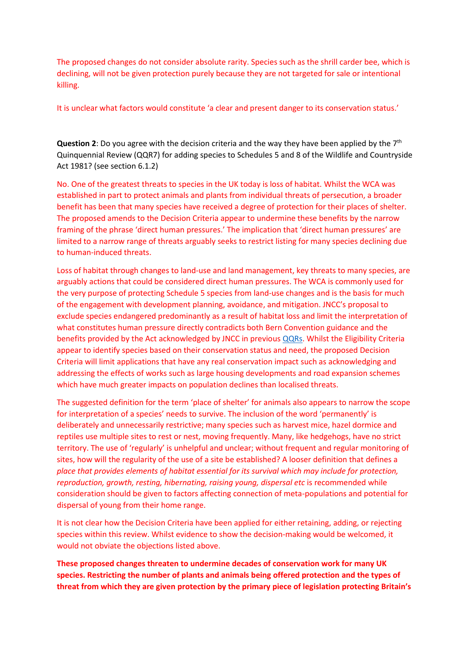The proposed changes do not consider absolute rarity. Species such as the shrill carder bee, which is declining, will not be given protection purely because they are not targeted for sale or intentional killing.

It is unclear what factors would constitute 'a clear and present danger to its conservation status.'

**Question 2:** Do you agree with the decision criteria and the way they have been applied by the 7<sup>th</sup> Quinquennial Review (QQR7) for adding species to Schedules 5 and 8 of the Wildlife and Countryside Act 1981? (see section 6.1.2)

No. One of the greatest threats to species in the UK today is loss of habitat. Whilst the WCA was established in part to protect animals and plants from individual threats of persecution, a broader benefit has been that many species have received a degree of protection for their places of shelter. The proposed amends to the Decision Criteria appear to undermine these benefits by the narrow framing of the phrase 'direct human pressures.' The implication that 'direct human pressures' are limited to a narrow range of threats arguably seeks to restrict listing for many species declining due to human-induced threats.

Loss of habitat through changes to land-use and land management, key threats to many species, are arguably actions that could be considered direct human pressures. The WCA is commonly used for the very purpose of protecting Schedule 5 species from land-use changes and is the basis for much of the engagement with development planning, avoidance, and mitigation. JNCC's proposal to exclude species endangered predominantly as a result of habitat loss and limit the interpretation of what constitutes human pressure directly contradicts both Bern Convention guidance and the benefits provided by the Act acknowledged by JNCC in previous [QQRs.](https://data.jncc.gov.uk/data/afbc3a97-08bd-41d6-99af-507b200f2e97/NCC-First-Quinquennial-Review-1986.pdf) Whilst the Eligibility Criteria appear to identify species based on their conservation status and need, the proposed Decision Criteria will limit applications that have any real conservation impact such as acknowledging and addressing the effects of works such as large housing developments and road expansion schemes which have much greater impacts on population declines than localised threats.

The suggested definition for the term 'place of shelter' for animals also appears to narrow the scope for interpretation of a species' needs to survive. The inclusion of the word 'permanently' is deliberately and unnecessarily restrictive; many species such as harvest mice, hazel dormice and reptiles use multiple sites to rest or nest, moving frequently. Many, like hedgehogs, have no strict territory. The use of 'regularly' is unhelpful and unclear; without frequent and regular monitoring of sites, how will the regularity of the use of a site be established? A looser definition that defines a *place that provides elements of habitat essential for its survival which may include for protection, reproduction, growth, resting, hibernating, raising young, dispersal etc* is recommended while consideration should be given to factors affecting connection of meta-populations and potential for dispersal of young from their home range.

It is not clear how the Decision Criteria have been applied for either retaining, adding, or rejecting species within this review. Whilst evidence to show the decision-making would be welcomed, it would not obviate the objections listed above.

**These proposed changes threaten to undermine decades of conservation work for many UK species. Restricting the number of plants and animals being offered protection and the types of threat from which they are given protection by the primary piece of legislation protecting Britain's**